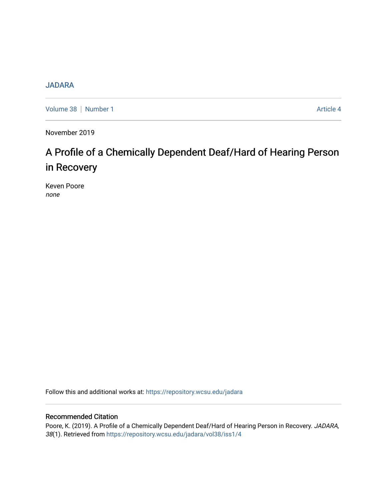# [JADARA](https://repository.wcsu.edu/jadara)

[Volume 38](https://repository.wcsu.edu/jadara/vol38) | [Number 1](https://repository.wcsu.edu/jadara/vol38/iss1) Article 4

November 2019

# A Profile of a Chemically Dependent Deaf/Hard of Hearing Person in Recovery

Keven Poore none

Follow this and additional works at: [https://repository.wcsu.edu/jadara](https://repository.wcsu.edu/jadara?utm_source=repository.wcsu.edu%2Fjadara%2Fvol38%2Fiss1%2F4&utm_medium=PDF&utm_campaign=PDFCoverPages)

## Recommended Citation

Poore, K. (2019). A Profile of a Chemically Dependent Deaf/Hard of Hearing Person in Recovery. JADARA, 38(1). Retrieved from [https://repository.wcsu.edu/jadara/vol38/iss1/4](https://repository.wcsu.edu/jadara/vol38/iss1/4?utm_source=repository.wcsu.edu%2Fjadara%2Fvol38%2Fiss1%2F4&utm_medium=PDF&utm_campaign=PDFCoverPages)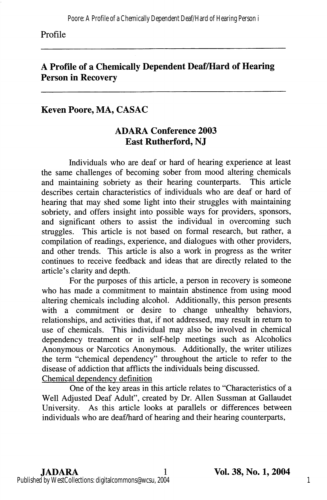#### Profile

# A Profile of a Chemically Dependent Deaf/Hard of Hearing Person in Recovery

## Keven Poore, MA, CASAC

# ADARA Conference 2003 East Rutherford, NJ

Individuals who are deaf or hard of hearing experience at least the same challenges of becoming sober from mood altering chemicals and maintaining sobriety as their hearing counterparts. This article describes certain characteristics of individuals who are deaf or hard of hearing that may shed some light into their struggles with maintaining sobriety, and offers insight into possible ways for providers, sponsors, and significant others to assist the individual in overcoming such struggles. This article is not based on formal research, but rather, a compilation of readings, experience, and dialogues with other providers, and other trends. This article is also a work in progress as the writer continues to receive feedback and ideas that are directly related to the article's clarity and depth.

For the purposes of this article, a person in recovery is someone who has made a commitment to maintain abstinence from using mood altering chemicals including alcohol. Additionally, this person presents with a commitment or desire to change unhealthy behaviors, relationships, and activities that, if not addressed, may result in return to use of chemicals. This individual may also be involved in chemical dependency treatment or in self-help meetings such as Alcoholics Anonymous or Narcotics Anonymous. Additionally, the writer utilizes the term "chemical dependency" throughout the article to refer to the disease of addiction that afflicts the individuals being discussed. Chemical dependencv definition

One of the key areas in this article relates to "Characteristics of a Well Adjusted Deaf Adult", created by Dr. Allen Sussman at Gallaudet University. As this article looks at parallels or differences between individuals who are deaf/hard of hearing and their hearing counterparts.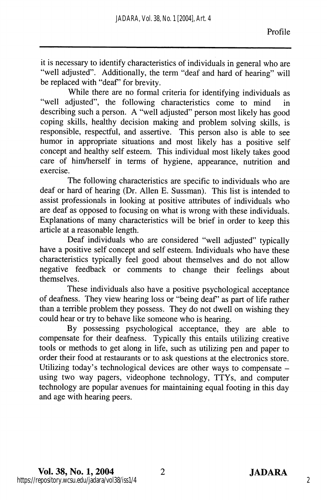it is necessary to identify characteristics of individuals in general who are "well adjusted". Additionally, the term "deaf and hard of hearing" will be replaced with "deaf" for brevity.

While there are no formal criteria for identifying individuals as "well adjusted", the following characteristics come to mind in describing such a person. A "well adjusted" person most likely has good coping skills, healthy decision making and problem solving skills, is responsible, respectful, and assertive. This person also is able to see humor in appropriate situations and most likely has a positive self concept and healthy self esteem. This individual most likely takes good care of him/herself in terms of hygiene, appearance, nutrition and exercise.

The following characteristics are specific to individuals who are deaf or hard of hearing (Dr. Allen E. Sussman). This list is intended to assist professionals in looking at positive attributes of individuals who are deaf as opposed to focusing on what is wrong with these individuals. Explanations of many characteristics will be brief in order to keep this article at a reasonable length.

Deaf individuals who are considered "well adjusted" typically have a positive self concept and self esteem. Individuals who have these characteristics typically feel good about themselves and do not allow negative feedback or comments to change their feelings about themselves.

These individuals also have a positive psychological acceptance of deafness. They view hearing loss or "being deaf" as part of life rather than a terrible problem they possess. They do not dwell on wishing they could hear or try to behave like someone who is hearing.

By possessing psychological acceptance, they are able to compensate for their deafness. Typically this entails utilizing creative tools or methods to get along in life, such as utilizing pen and paper to order their food at restaurants or to ask questions at the electronics store. Utilizing today's technological devices are other ways to compensate  $$ using two way pagers, videophone technology, TTYs, and computer technology are popular avenues for maintaining equal footing in this day and age with hearing peers.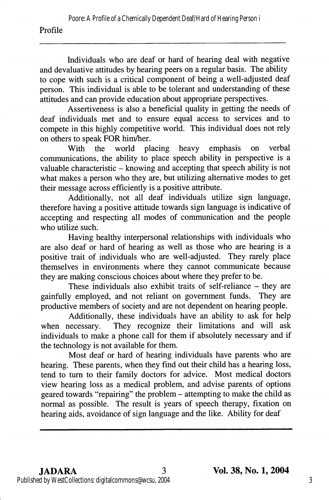#### Profile

Individuals who are deaf or hard of hearing deal with negative and devaluative attitudes by hearing peers on a regular basis. The ability to cope with such is a critical component of being a well-adjusted deaf person. This individual is able to be tolerant and understanding of these attitudes and can provide education about appropriate perspectives.

Assertiveness is also a beneficial quality in getting the needs of deaf individuals met and to ensure equal access to services and to compete in this highly competitive world. This individual does not rely on others to speak FOR him/her.<br>With the world placing

heavy emphasis on verbal communications, the ability to place speech ability in perspective is a valuable characteristic – knowing and accepting that speech ability is not what makes a person who they are, but utilizing alternative modes to get their message across efficiently is a positive attribute.

Additionally, not all deaf individuals utilize sign language, therefore having a positive attitude towards sign language is indicative of accepting and respecting all modes of communication and the people who utilize such.

Having healthy interpersonal relationships with individuals who are also deaf or hard of hearing as well as those who are hearing is a positive trait of individuals who are well-adjusted. They rarely place themselves in environments where they cannot communicate because they are making conscious choices about where they prefer to be.

These individuals also exhibit traits of self-reliance – they are<br>v employed, and not reliant on government funds. They are gainfully employed, and not reliant on government funds. productive members of society and are not dependent on hearing people.

Additionally, these individuals have an ability to ask for help when necessary. They recognize their limitations and will ask individuals to make a phone call for them if absolutely necessary and if the technology is not available for them.

Most deaf or hard of hearing individuals have parents who are hearing. These parents, when they find out their child has a hearing loss, tend to turn to their family doctors for advice. Most medical doctors view hearing loss as a medical problem, and advise parents of options geared towards "repairing" the problem - attempting to make the child as normal as possible. The result is years of speech therapy, fixation on hearing aids, avoidance of sign language and the like. Ability for deaf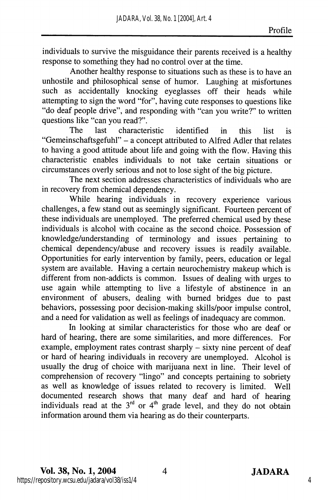individuals to survive the misguidance their parents received is a healthy response to something they had no control over at the time.

Another healthy response to situations such as these is to have an unhostile and philosophical sense of humor. Laughing at misfortunes such as accidentally knocking eyeglasses off their heads while attempting to sign the word "for", having cute responses to questions like "do deaf people drive", and responding with "can you write?" to written questions like "can you read?".

The last characteristic identified in this list is "Gemeinschaftsgefuhl" - a concept attributed to Alfred Adler that relates to having a good attitude about life and going with the flow. Having this characteristic enables individuals to not take certain situations or circumstances overly serious and not to lose sight of the big picture.

The next section addresses characteristics of individuals who are in recovery from chemical dependency.

While hearing individuals in recovery experience various challenges, a few stand out as seemingly significant. Fourteen percent of these individuals are unemployed. The preferred chemical used by these individuals is alcohol with cocaine as the second choice. Possession of knowledge/understanding of terminology and issues pertaining to chemical dependency/abuse and recovery issues is readily available. Opportunities for early intervention by family, peers, education or legal system are available. Having a certain neurochemistry makeup which is different from non-addicts is common. Issues of dealing with urges to use again while attempting to live a lifestyle of abstinence in an environment of abusers, dealing with burned bridges due to past behaviors, possessing poor decision-making skills/poor impulse control, and a need for validation as well as feelings of inadequacy are common.

In looking at similar characteristics for those who are deaf or hard of hearing, there are some similarities, and more differences. For example, employment rates contrast sharply – sixty nine percent of deaf or hard of hearing individuals in recovery are unemployed. Alcohol is usually the drug of choice with marijuana next in line. Their level of comprehension of recovery "lingo" and concepts pertaining to sobriety as well as knowledge of issues related to recovery is limited. Well documented research shows that many deaf and hard of hearing individuals read at the  $3<sup>rd</sup>$  or  $4<sup>th</sup>$  grade level, and they do not obtain information around them via hearing as do their counterparts.

4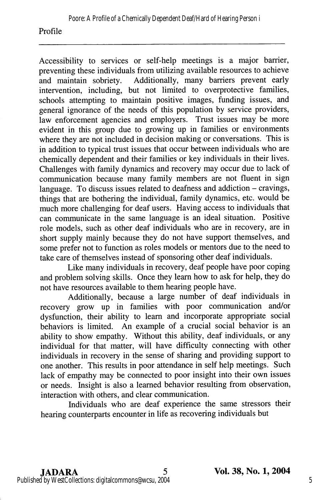#### Profile

Accessibility to services or self-help meetings is a major barrier, preventing these individuals from utilizing available resources to achieve and maintain sobriety. Additionally, many barriers prevent early Additionally, many barriers prevent early intervention, including, but not limited to overprotective families, schools attempting to maintain positive images, funding issues, and general ignorance of the needs of this population by service providers, law enforcement agencies and employers. Trust issues may be more evident in this group due to growing up in families or environments where they are not included in decision making or conversations. This is in addition to typical trust issues that occur between individuals who are chemically dependent and their families or key individuals in their lives. Challenges with family dynamics and recovery may occur due to lack of communication because many family members are not fluent in sign language. To discuss issues related to deafness and addiction  $-$  cravings, things that are bothering the individual, family dynamics, etc. would be much more challenging for deaf users. Having access to individuals that can communicate in the same language is an ideal situation. Positive role models, such as other deaf individuals who are in recovery, are in short supply mainly because they do not have support themselves, and some prefer not to function as roles models or mentors due to the need to take care of themselves instead of sponsoring other deaf individuals.

Like many individuals in recovery, deaf people have poor coping and problem solving skills. Once they learn how to ask for help, they do not have resources available to them hearing people have.

Additionally, because a large number of deaf individuals in recovery grow up in families with poor communication and/or dysfunction, their ability to learn and incorporate appropriate social behaviors is limited. An example of a crucial social behavior is an ability to show empathy. Without this ability, deaf individuals, or any individual for that matter, will have difficulty connecting with other individuals in recovery in the sense of sharing and providing support to one another. This results in poor attendance in self help meetings. Such lack of empathy may be connected to poor insight into their own issues or needs. Insight is also a learned behavior resulting from observation, interaction with others, and clear communication.

Individuals who are deaf experience the same stressors their hearing counterparts encounter in life as recovering individuals but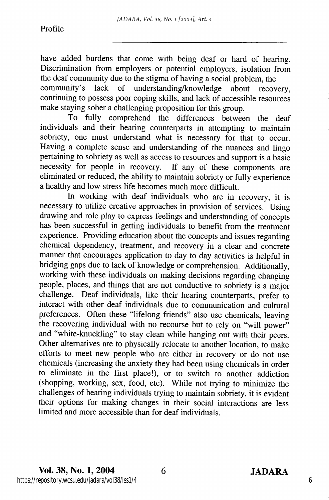have added burdens that come with being deaf or hard of hearing. Discrimination from employers or potential employers, isolation from the deaf community due to the stigma of having a social problem, the

community's lack of understanding/knowledge about recovery, continuing to possess poor coping skills, and lack of accessible resources make staying sober a challenging proposition for this group.

To fully comprehend the differences between the deaf individuals and their hearing counterparts in attempting to maintain sobriety, one must understand what is necessary for that to occur. Having a complete sense and understanding of the nuances and lingo pertaining to sobriety as well as access to resources and support is a basic necessity for people in recovery. If any of these components are eliminated or reduced, the ability to maintain sobriety or fully experience a healthy and low-stress life becomes much more difficult.

In working with deaf individuals who are in recovery, it is necessary to utilize creative approaches in provision of services. Using drawing and role play to express feelings and understanding of concepts has been successful in getting individuals to benefit from the treatment experience. Providing education about the concepts and issues regarding chemical dependency, treatment, and recovery in a clear and concrete manner that encourages application to day to day activities is helpful in bridging gaps due to lack of knowledge or comprehension. Additionally, working with these individuals on making decisions regarding changing people, places, and things that are not conductive to sobriety is a major challenge. Deaf individuals, like their hearing counterparts, prefer to interact with other deaf individuals due to communication and cultural preferences. Often these "lifelong friends" also use chemicals, leaving the recovering individual with no recourse but to rely on "will power" and "white-knuckling" to stay clean while hanging out with their peers. Other alternatives are to physically relocate to another location, to make efforts to meet new people who are either in recovery or do not use chemicals (increasing the anxiety they had been using chemicals in order to eliminate in the first place!), or to switch to another addiction (shopping, working, sex, food, etc). While not trying to minimize the challenges of hearing individuals trying to maintain sobriety, it is evident their options for making changes in their social interactions are less limited and more accessible than for deaf individuals.

6